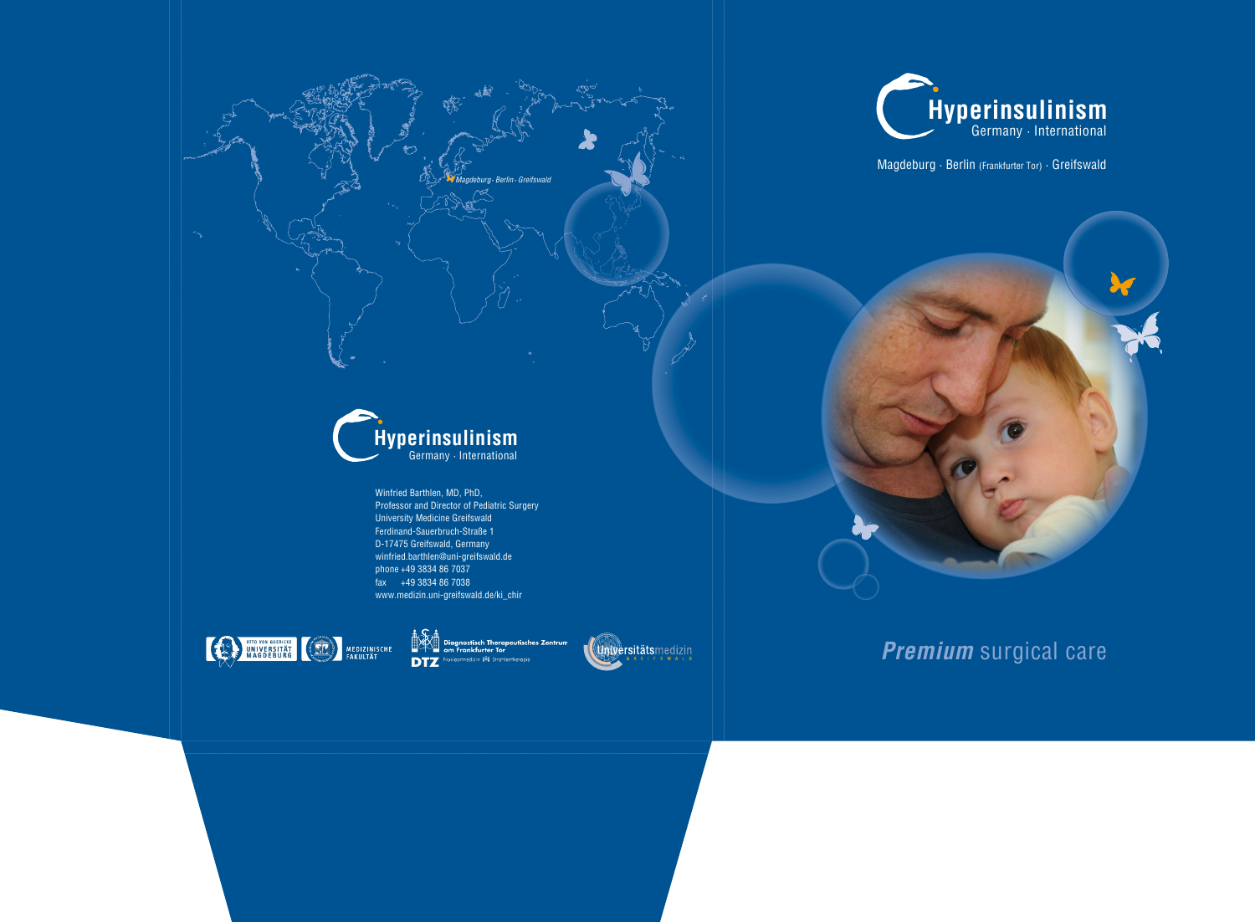Winfried Barthlen, MD, PhD, Professor and Director of Pediatric Surgery University Medicine Greifswald Ferdinand-Sauerbruch-Straße 1 D-17475 Greifswald, Germany winfried.barthlen@uni-greifswald.de phone +49 3834 86 7037 fax +49 3834 86 7038 www.medizin.uni-greifswald.de/ki\_chir



stisch Therapeutisches Zentrum .<br>Frankfurter Toı **DTZ** zin <mark>峰</mark> Strahlentherapie

Magdeburg · Berlin (Frankfurter Tor) · Greifswald







**Premium** surgical care

*Magdeburg* **·** *Berlin* **·***Greifswald*